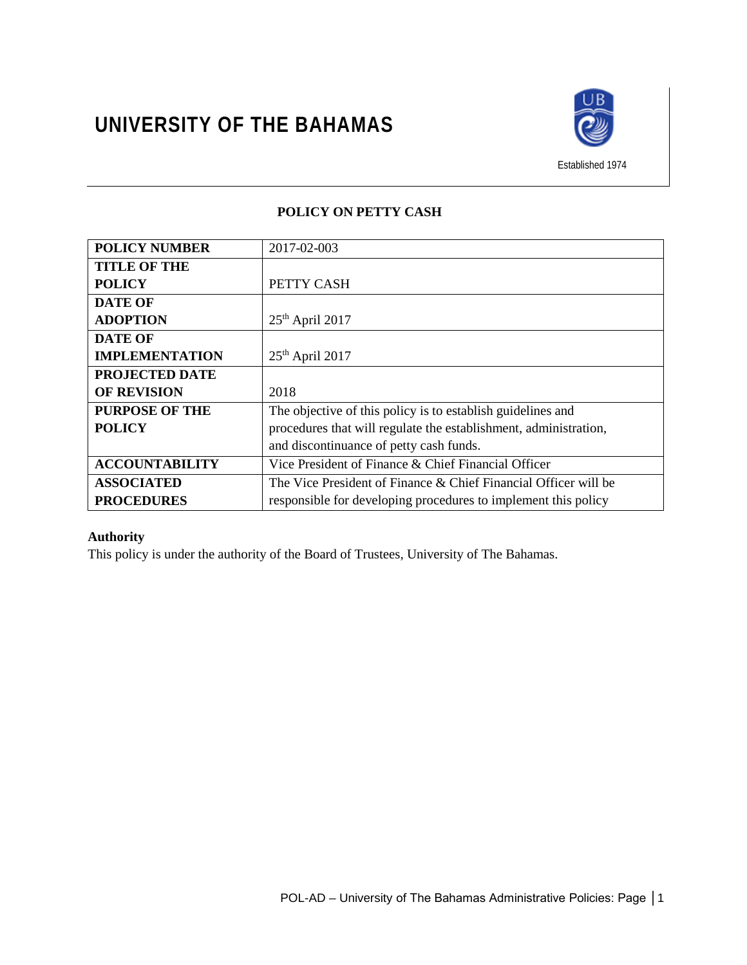

Established 1974

# **POLICY ON PETTY CASH**

| <b>POLICY NUMBER</b>  | 2017-02-003                                                      |
|-----------------------|------------------------------------------------------------------|
| <b>TITLE OF THE</b>   |                                                                  |
| <b>POLICY</b>         | PETTY CASH                                                       |
| <b>DATE OF</b>        |                                                                  |
| <b>ADOPTION</b>       | $25th$ April 2017                                                |
| <b>DATE OF</b>        |                                                                  |
| <b>IMPLEMENTATION</b> | $25th$ April 2017                                                |
| <b>PROJECTED DATE</b> |                                                                  |
| <b>OF REVISION</b>    | 2018                                                             |
| <b>PURPOSE OF THE</b> | The objective of this policy is to establish guidelines and      |
| <b>POLICY</b>         | procedures that will regulate the establishment, administration, |
|                       | and discontinuance of petty cash funds.                          |
| <b>ACCOUNTABILITY</b> | Vice President of Finance & Chief Financial Officer              |
| <b>ASSOCIATED</b>     | The Vice President of Finance & Chief Financial Officer will be  |
| <b>PROCEDURES</b>     | responsible for developing procedures to implement this policy   |

# **Authority**

This policy is under the authority of the Board of Trustees, University of The Bahamas.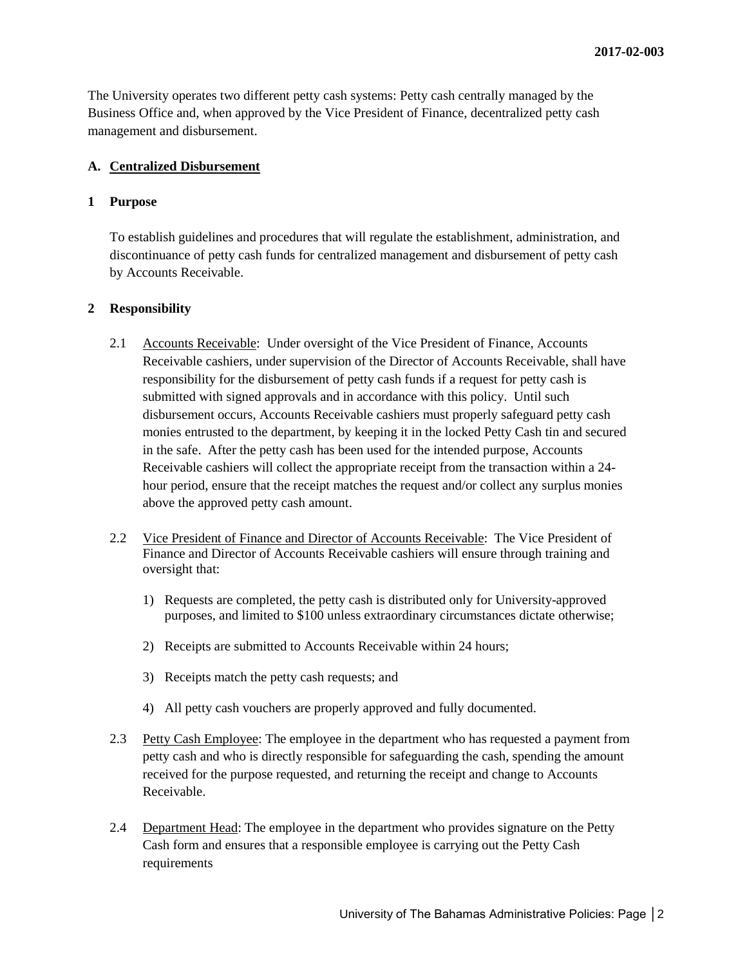The University operates two different petty cash systems: Petty cash centrally managed by the Business Office and, when approved by the Vice President of Finance, decentralized petty cash management and disbursement.

#### **A. Centralized Disbursement**

#### **1 Purpose**

To establish guidelines and procedures that will regulate the establishment, administration, and discontinuance of petty cash funds for centralized management and disbursement of petty cash by Accounts Receivable.

#### **2 Responsibility**

- 2.1 Accounts Receivable: Under oversight of the Vice President of Finance, Accounts Receivable cashiers, under supervision of the Director of Accounts Receivable, shall have responsibility for the disbursement of petty cash funds if a request for petty cash is submitted with signed approvals and in accordance with this policy. Until such disbursement occurs, Accounts Receivable cashiers must properly safeguard petty cash monies entrusted to the department, by keeping it in the locked Petty Cash tin and secured in the safe. After the petty cash has been used for the intended purpose, Accounts Receivable cashiers will collect the appropriate receipt from the transaction within a 24 hour period, ensure that the receipt matches the request and/or collect any surplus monies above the approved petty cash amount.
- 2.2 Vice President of Finance and Director of Accounts Receivable: The Vice President of Finance and Director of Accounts Receivable cashiers will ensure through training and oversight that:
	- 1) Requests are completed, the petty cash is distributed only for University-approved purposes, and limited to \$100 unless extraordinary circumstances dictate otherwise;
	- 2) Receipts are submitted to Accounts Receivable within 24 hours;
	- 3) Receipts match the petty cash requests; and
	- 4) All petty cash vouchers are properly approved and fully documented.
- 2.3 Petty Cash Employee: The employee in the department who has requested a payment from petty cash and who is directly responsible for safeguarding the cash, spending the amount received for the purpose requested, and returning the receipt and change to Accounts Receivable.
- 2.4 Department Head: The employee in the department who provides signature on the Petty Cash form and ensures that a responsible employee is carrying out the Petty Cash requirements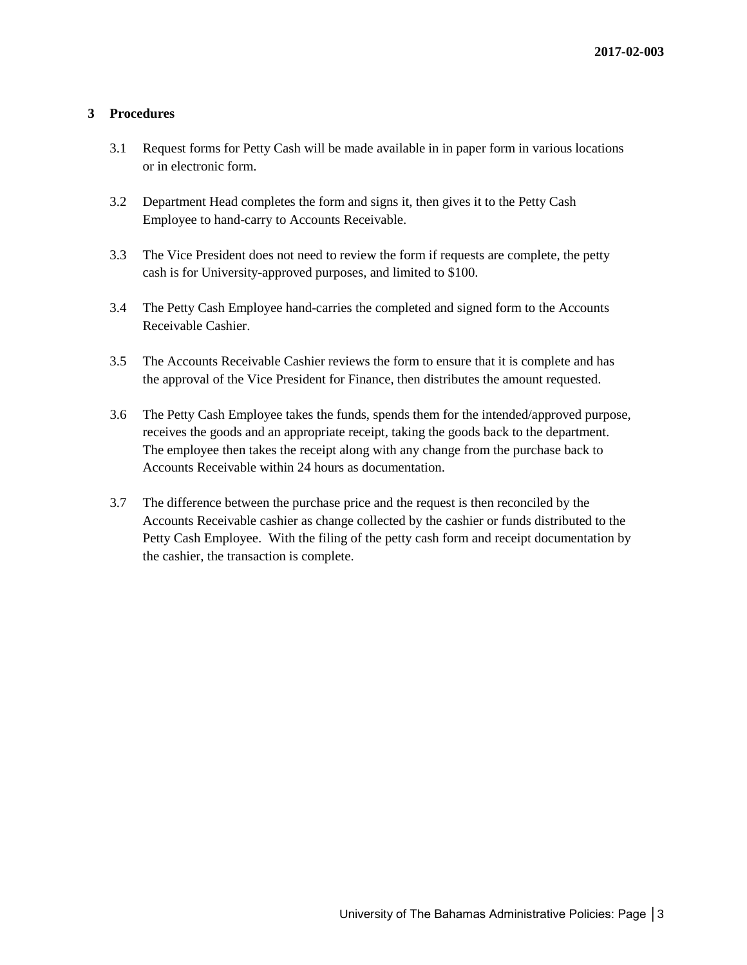## **3 Procedures**

- 3.1 Request forms for Petty Cash will be made available in in paper form in various locations or in electronic form.
- 3.2 Department Head completes the form and signs it, then gives it to the Petty Cash Employee to hand-carry to Accounts Receivable.
- 3.3 The Vice President does not need to review the form if requests are complete, the petty cash is for University-approved purposes, and limited to \$100.
- 3.4 The Petty Cash Employee hand-carries the completed and signed form to the Accounts Receivable Cashier.
- 3.5 The Accounts Receivable Cashier reviews the form to ensure that it is complete and has the approval of the Vice President for Finance, then distributes the amount requested.
- 3.6 The Petty Cash Employee takes the funds, spends them for the intended/approved purpose, receives the goods and an appropriate receipt, taking the goods back to the department. The employee then takes the receipt along with any change from the purchase back to Accounts Receivable within 24 hours as documentation.
- 3.7 The difference between the purchase price and the request is then reconciled by the Accounts Receivable cashier as change collected by the cashier or funds distributed to the Petty Cash Employee. With the filing of the petty cash form and receipt documentation by the cashier, the transaction is complete.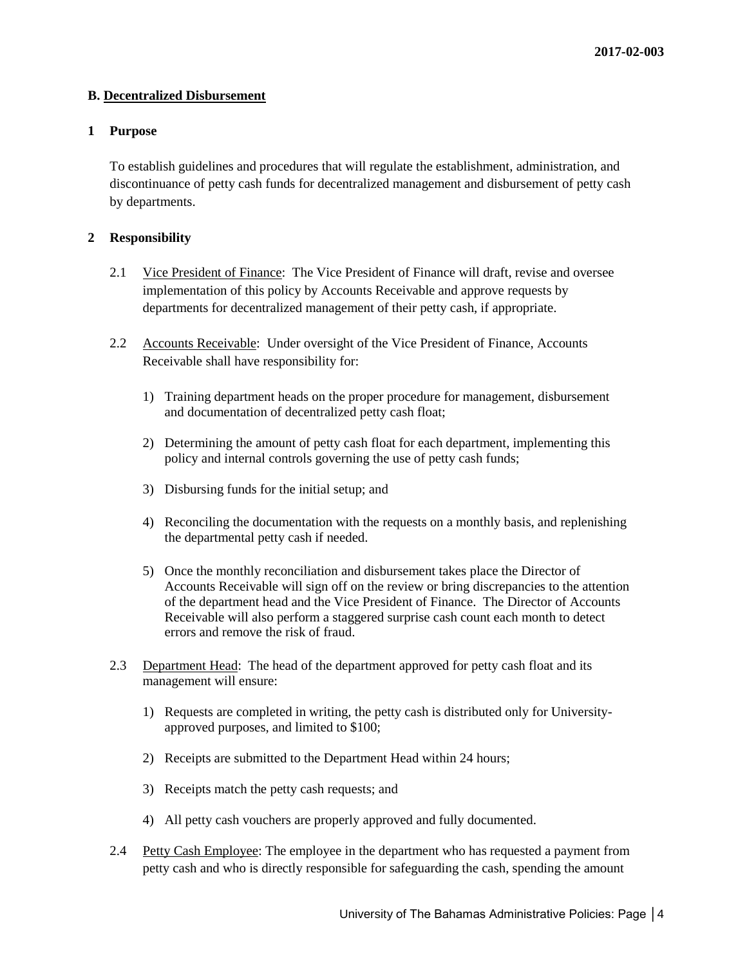## **B. Decentralized Disbursement**

## **1 Purpose**

To establish guidelines and procedures that will regulate the establishment, administration, and discontinuance of petty cash funds for decentralized management and disbursement of petty cash by departments.

## **2 Responsibility**

- 2.1 Vice President of Finance: The Vice President of Finance will draft, revise and oversee implementation of this policy by Accounts Receivable and approve requests by departments for decentralized management of their petty cash, if appropriate.
- 2.2 Accounts Receivable: Under oversight of the Vice President of Finance, Accounts Receivable shall have responsibility for:
	- 1) Training department heads on the proper procedure for management, disbursement and documentation of decentralized petty cash float;
	- 2) Determining the amount of petty cash float for each department, implementing this policy and internal controls governing the use of petty cash funds;
	- 3) Disbursing funds for the initial setup; and
	- 4) Reconciling the documentation with the requests on a monthly basis, and replenishing the departmental petty cash if needed.
	- 5) Once the monthly reconciliation and disbursement takes place the Director of Accounts Receivable will sign off on the review or bring discrepancies to the attention of the department head and the Vice President of Finance. The Director of Accounts Receivable will also perform a staggered surprise cash count each month to detect errors and remove the risk of fraud.
- 2.3 Department Head: The head of the department approved for petty cash float and its management will ensure:
	- 1) Requests are completed in writing, the petty cash is distributed only for Universityapproved purposes, and limited to \$100;
	- 2) Receipts are submitted to the Department Head within 24 hours;
	- 3) Receipts match the petty cash requests; and
	- 4) All petty cash vouchers are properly approved and fully documented.
- 2.4 Petty Cash Employee: The employee in the department who has requested a payment from petty cash and who is directly responsible for safeguarding the cash, spending the amount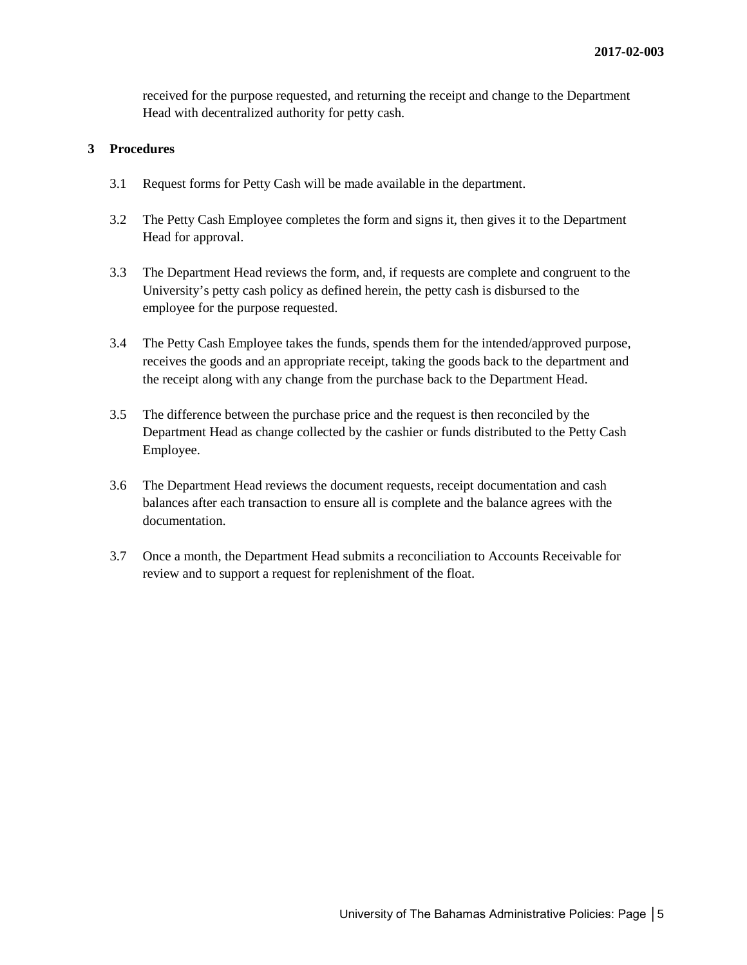received for the purpose requested, and returning the receipt and change to the Department Head with decentralized authority for petty cash.

## **3 Procedures**

- 3.1 Request forms for Petty Cash will be made available in the department.
- 3.2 The Petty Cash Employee completes the form and signs it, then gives it to the Department Head for approval.
- 3.3 The Department Head reviews the form, and, if requests are complete and congruent to the University's petty cash policy as defined herein, the petty cash is disbursed to the employee for the purpose requested.
- 3.4 The Petty Cash Employee takes the funds, spends them for the intended/approved purpose, receives the goods and an appropriate receipt, taking the goods back to the department and the receipt along with any change from the purchase back to the Department Head.
- 3.5 The difference between the purchase price and the request is then reconciled by the Department Head as change collected by the cashier or funds distributed to the Petty Cash Employee.
- 3.6 The Department Head reviews the document requests, receipt documentation and cash balances after each transaction to ensure all is complete and the balance agrees with the documentation.
- 3.7 Once a month, the Department Head submits a reconciliation to Accounts Receivable for review and to support a request for replenishment of the float.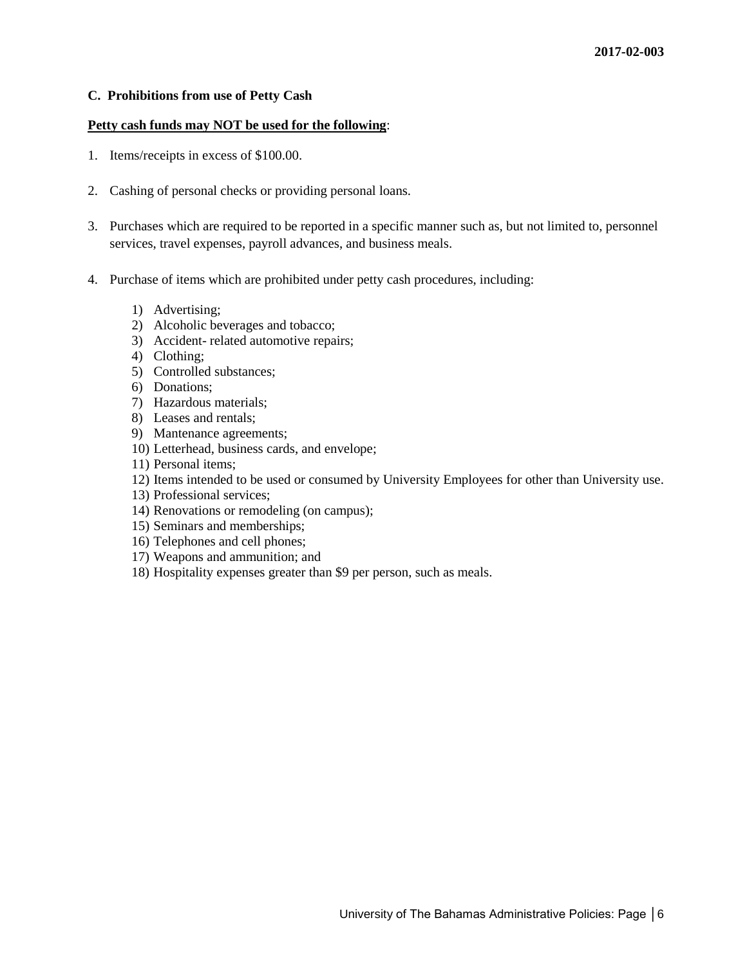#### **C. Prohibitions from use of Petty Cash**

#### **Petty cash funds may NOT be used for the following**:

- 1. Items/receipts in excess of \$100.00.
- 2. Cashing of personal checks or providing personal loans.
- 3. Purchases which are required to be reported in a specific manner such as, but not limited to, personnel services, travel expenses, payroll advances, and business meals.
- 4. Purchase of items which are prohibited under petty cash procedures, including:
	- 1) Advertising;
	- 2) Alcoholic beverages and tobacco;
	- 3) Accident- related automotive repairs;
	- 4) Clothing;
	- 5) Controlled substances;
	- 6) Donations;
	- 7) Hazardous materials;
	- 8) Leases and rentals;
	- 9) Mantenance agreements;
	- 10) Letterhead, business cards, and envelope;
	- 11) Personal items;
	- 12) Items intended to be used or consumed by University Employees for other than University use.
	- 13) Professional services;
	- 14) Renovations or remodeling (on campus);
	- 15) Seminars and memberships;
	- 16) Telephones and cell phones;
	- 17) Weapons and ammunition; and
	- 18) Hospitality expenses greater than \$9 per person, such as meals.